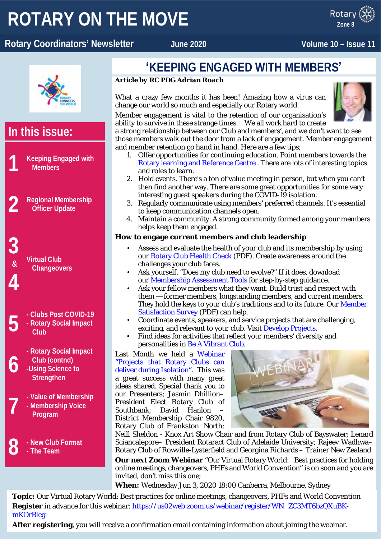# **ROTARY ON THE MOVE**

#### x ROTARY Rotary Coordinators' Newsletter **Manual State June 2020** Volume 10 – Issue 11

**Zone 8**



### **'KEEPING ENGAGED WITH MEMBERS'**

#### *Article by RC PDG Adrian Roach*

What a crazy few months it has been! Amazing how a virus can change our world so much and especially our Rotary world.

Member engagement is vital to the retention of our organisation's ability to survive in these strange times. We all work hard to create

a strong relationship between our Club and members', and we don't want to see those members walk out the door from a lack of engagement. Member engagement and member retention go hand in hand. Here are a few tips;

- 1. Offer opportunities for continuing education. Point members towards the [Rotary learning and Reference Centre](https://my.rotary.org/en/learning-reference) . There are lots of interesting topics and roles to learn.
- 2. Hold events. There's a ton of value meeting in person, but when you can't then find another way. There are some great opportunities for some very interesting guest speakers during the COVID-19 isolation.
- 3. Regularly communicate using members' preferred channels. It's essential to keep communication channels open.
- 4. Maintain a community. A strong community formed among your members helps keep them engaged.

#### **How to engage current members and club leadership**

- Assess and evaluate the health of your club and its membership by using our [Rotary Club Health Check](https://my.rotary.org/en/document/rotary-club-health-check) (PDF). Create awareness around the challenges your club faces.
- Ask yourself, "Does my club need to evolve?" If it does, download our [Membership Assessment Tools](https://my.rotary.org/en/document/membership-assessment-tools) for step-by-step guidance.
- Ask your fellow members what they want. Build trust and respect with them — former members, longstanding members, and current members. They hold the keys to your club's traditions and to its future. Our [Member](https://my.rotary.org/en/document/enhancing-club-experience-member-satisfaction-survey)  [Satisfaction Survey](https://my.rotary.org/en/document/enhancing-club-experience-member-satisfaction-survey) (PDF) can help.
- Coordinate events, speakers, and service projects that are challenging, exciting, and relevant to your club. Visit [Develop Projects.](https://my.rotary.org/en/take-action/develop-projects)
- Find ideas for activities that reflect your members' diversity and personalities in [Be A Vibrant Club.](https://my.rotary.org/en/learning-reference/learn-topic/regional-strategy-membership)

Last Month we held a [Webinar](https://youtu.be/xhduVxZMTQs)  ["Projects that Rotary Clubs can](https://youtu.be/xhduVxZMTQs)  [deliver during Isolation".](https://youtu.be/xhduVxZMTQs) This was a great success with many great ideas shared. Special thank you to our Presenters; Jasmin Dhillion– President Elect Rotary Club of Southbank: David Hanlon District Membership Chair 9820, Rotary Club of Frankston North;



Neill Sheldon - Knox Art Show Chair and from Rotary Club of Bayswater; Lenard Sciancalepore– President Rotaract Club of Adelaide University; Rajeev Wadhwa– Rotary Club of Rowville-Lysterfield and Georgina Richards – Trainer New Zealand.

**Our next Zoom Webinar** "Our Virtual Rotary World: Best practices for holding online meetings, changeovers, PHFs and World Convention" is on soon and you are invited, don't miss this one;

**When:** Wednesday Jun 3, 2020 18:00 Canberra, Melbourne, Sydney

**Topic:** Our Virtual Rotary World: Best practices for online meetings, changeovers, PHFs and World Convention **Register** in advance for this webinar[: https://us02web.zoom.us/webinar/register/WN\\_ZC3MT6bzQXuBK](https://us02web.zoom.us/webinar/register/WN_ZC3MT6bzQXuBK-mKOrBleg)[mKOrBleg](https://us02web.zoom.us/webinar/register/WN_ZC3MT6bzQXuBK-mKOrBleg)

**After registering**, you will receive a confirmation email containing information about joining the webinar.

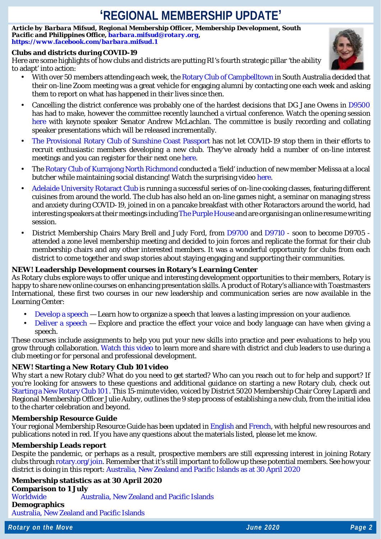## **'REGIONAL MEMBERSHIP UPDATE'**

*Article by Barbara Mifsud, Regional Membership Officer, Membership Development, South Pacific and Philippines Office, [barbara.mifsud@rotary.org,](mailto:barbara.mifsud@rotary.org) <https://www.facebook.com/barbara.mifsud.1>*

#### **Clubs and districts during COVID-19**

Here are some highlights of how clubs and districts are putting RI's fourth strategic pillar 'the ability to adapt' into action:

- With over 50 members attending each week, the [Rotary Club of Campbelltown](https://www.facebook.com/CampbelltownRotarySA/) in South Australia decided that their on-line Zoom meeting was a great vehicle for engaging alumni by contacting one each week and asking them to report on what has happened in their lives since then.
- Cancelling the district conference was probably one of the hardest decisions that DG Jane Owens in [D9500](https://rotary9500.org/) has had to make, however the committee recently launched a virtual conference. Watch the opening session [here](https://whyalla2020.org.au/session-1/) with keynote speaker Senator Andrew McLachlan. The committee is busily recording and collating speaker presentations which will be released incrementally.
- [The Provisional Rotary Club of Sunshine Coast Passport](https://sunshinecoastpassportrotary.org/) has not let COVID-19 stop them in their efforts to recruit enthusiastic members developing a new club. They've already held a number of on-line interest meetings and you can register for their next one [here.](https://events.humanitix.com/interest-meeting-26-may-sunshine-coast-passport-rotary)
- The [Rotary Club of Kurrajong North Richmond](https://www.facebook.com/Rotary-Club-of-Kurrajong-North-Richmond-Inc-1696825530609964/?eid=ARCL24pHr8LvJiuxq--4kTR90qSoJ5gO3uDvjYMHR7g95EKAAOeIT0ao1GOGxZIwxeSPWYiXHmaIjuqW) conducted a 'field' induction of new member Melissa at a local butcher while maintaining social distancing! Watch the surprising vide[o here.](https://www.facebook.com/1696825530609964/videos/240627277141556/)
- [Adelaide University Rotaract Club](https://www.facebook.com/adelaideunirotaractclub/) is running a successful series of on-line cooking classes, featuring different cuisines from around the world. The club has also held an on-line games night, a seminar on managing stress and anxiety during COVID-19, joined in on a pancake breakfast with other Rotaractors around the world, had interesting speakers at their meetings includin[g The Purple House](https://www.facebook.com/purplehousedialysis/) and are organising an online resume writing session.
- District Membership Chairs Mary Brell and Judy Ford, from [D9700](https://www.rotary9700.org.au/) and [D9710](https://www.rotaryd9710.org.au/) soon to become D9705 attended a zone level membership meeting and decided to join forces and replicate the format for their club membership chairs and any other interested members. It was a wonderful opportunity for clubs from each district to come together and swap stories about staying engaging and supporting their communities.

#### **NEW! Leadership Development courses in Rotary's Learning Center**

As Rotary clubs explore ways to offer unique and interesting development opportunities to their members, Rotary is happy to share new online courses on enhancing presentation skills. A product of Rotary's alliance with Toastmasters International, these first two courses in our new leadership and communication series are now available in the Learning Center:

- [Develop a speech](https://my.rotary.org/learn?deep-link=https%3A//learn.rotary.org/members/learn/course/internal/view/elearning/701/toastmasters-speech-development) Learn how to organize a speech that leaves a lasting impression on your audience.
- [Deliver a speech](https://my.rotary.org/learn?deep-link=https%3A//learn.rotary.org/members/learn/course/internal/view/elearning/800/toastmasters-speech-delivery) Explore and practice the effect your voice and body language can have when giving a speech.

These courses include assignments to help you put your new skills into practice and peer evaluations to help you grow through collaboration. [Watch this video](https://youtu.be/uVrpTyMT8og) to learn more and share with district and club leaders to use during a club meeting or for personal and professional development.

#### **NEW! Starting a New Rotary Club 101 video**

Why start a new Rotary club? What do you need to get started? Who can you reach out to for help and support? If you're looking for answers to these questions and additional guidance on starting a new Rotary club, check out [Starting a New Rotary Club 101 .](https://learn.rotary.org/members/share/asset/view/978) This 15-minute video, voiced by District 5020 Membership Chair Corey Lapardi and Regional Membership Officer Julie Aubry, outlines the 9 step process of establishing a new club, from the initial idea to the charter celebration and beyond.

#### **Membership Resource Guide**

Your regional Membership Resource Guide has been updated i[n English](https://www.dropbox.com/s/9rrda94nhd6o2ih/Z7B.8-MembershipResourceGuide_May2019.docx.pdf?dl=0) an[d French,](https://www.dropbox.com/s/xy6eumwixctfib7/Z8%20MembershipResourceGuide%20MAIN_20200513-005_FNL_FR%20-%20May%202020.docx?dl=0) with helpful new resources and publications noted in red. If you have any questions about the materials listed, please let me know.

#### **Membership Leads report**

Despite the pandemic, or perhaps as a result, prospective members are still expressing interest in joining Rotary clubs through [rotary.org/join.](https://www.rotary.org/en/get-involved/join) Remember that it's still important to follow up these potential members. See how your district is doing in this report: [Australia, New Zealand and Pacific Islands as at 30 April 2020](https://www.dropbox.com/s/hds9ejhrwubscbt/20200514%20-%20Zone%208%20-%20RMO_Membership_Leads_Success_Report.xlsx?dl=0)

**Membership statistics as at 30 April 2020 Comparison to 1 July** [Worldwide](https://nam02.safelinks.protection.outlook.com/?url=http%3A%2F%2Fmsgfocus.rotary.org%2Fc%2F1dukjFBRvlm4PJlODyjp6O79&data=02%7C01%7Cnerissa.dansou%40rotary.org%7C4c139f76b549468a158708d7f137fff8%7C67b4e0430afd4afb8b94bf96370c8e7f%7C1%7C0%7C637243095127391136&sdata=RS%2BRxuscz4y0cEe8FIycRQEWwpGIlP4sb1NRlQM66nw%3D&reserved=0) [Australia, New Zealand and Pacific Islands](https://www.dropbox.com/s/niopd0m0sv0wf2d/20200514%20-%20Zone%208%20-%20Comparison_to_1_July.pdf?dl=0)

**Demographics**  [Australia, New Zealand and Pacific Islands](https://www.dropbox.com/s/488jiji0bp5m75b/20200514%20-%20Zone%208%20-%20DISTRICT_MEMBERSHIP_PROGRESS_TO_GOAL.pdf?dl=0)



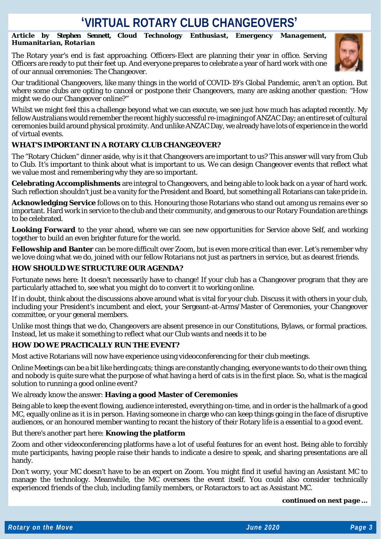### 'VIRTUAL ROTARY CLUB CHANGEOVERS'

*Article by Stephen Sennett, Cloud Technology Enthusiast, Emergency Management, Humanitarian, Rotarian*

The Rotary year's end is fast approaching. Officers-Elect are planning their year in office. Serving Officers are ready to put their feet up. And everyone prepares to celebrate a year of hard work with one of our annual ceremonies: The Changeover.



Our traditional Changeovers, like many things in the world of COVID-19's Global Pandemic, aren't an option. But where some clubs are opting to cancel or postpone their Changeovers, many are asking another question: "How might we do our Changeover online?"

Whilst we might feel this a challenge beyond what we can execute, we see just how much has adapted recently. My fellow Australians would remember the recent highly successful re-imagining of ANZAC Day; an entire set of cultural ceremonies build around physical proximity. And unlike ANZAC Day, we already have lots of experience in the world of virtual events.

### **WHAT'S IMPORTANT IN A ROTARY CLUB CHANGEOVER?**

The "Rotary Chicken" dinner aside, why is it that Changeovers are important to us? This answer will vary from Club to Club. It's important to think about what is important to us. We can design Changeover events that reflect what we value most and remembering why they are so important.

**Celebrating Accomplishments** are integral to Changeovers, and being able to look back on a year of hard work. Such reflection shouldn't just be a vanity for the President and Board, but something all Rotarians can take pride in.

**Acknowledging Service** follows on to this. Honouring those Rotarians who stand out among us remains ever so important. Hard work in service to the club and their community, and generous to our Rotary Foundation are things to be celebrated.

**Looking Forward** to the year ahead, where we can see new opportunities for Service above Self, and working together to build an even brighter future for the world.

**Fellowship and Banter** can be more difficult over Zoom, but is even more critical than ever. Let's remember why we love doing what we do, joined with our fellow Rotarians not just as partners in service, but as dearest friends.

#### **HOW SHOULD WE STRUCTURE OUR AGENDA?**

Fortunate news here: It doesn't necessarily have to change! If your club has a Changeover program that they are particularly attached to, see what you might do to convert it to working online.

If in doubt, think about the discussions above around what is vital for your club. Discuss it with others in your club, including your President's incumbent and elect, your Sergeant-at-Arms/Master of Ceremonies, your Changeover committee, or your general members.

Unlike most things that we do, Changeovers are absent presence in our Constitutions, Bylaws, or formal practices. Instead, let us make it something to reflect what our Club wants and needs it to be

#### **HOW DO WE PRACTICALLY RUN THE EVENT?**

Most active Rotarians will now have experience using videoconferencing for their club meetings.

Online Meetings can be a bit like herding cats; things are constantly changing, everyone wants to do their own thing, and nobody is quite sure what the purpose of what having a herd of cats is in the first place. So, what is the magical solution to running a good online event?

We already know the answer: **Having a good Master of Ceremonies**

Being able to keep the event flowing, audience interested, everything on-time, and in order is the hallmark of a good MC, equally online as it is in person. Having someone in charge who can keep things going in the face of disruptive audiences, or an honoured member wanting to recant the history of their Rotary life is a essential to a good event.

But there's another part here: **Knowing the platform**

Zoom and other videoconferencing platforms have a lot of useful features for an event host. Being able to forcibly mute participants, having people raise their hands to indicate a desire to speak, and sharing presentations are all handy.

Don't worry, your MC doesn't have to be an expert on Zoom. You might find it useful having an Assistant MC to manage the technology. Meanwhile, the MC oversees the event itself. You could also consider technically experienced friends of the club, including family members, or Rotaractors to act as Assistant MC.

*continued on next page …*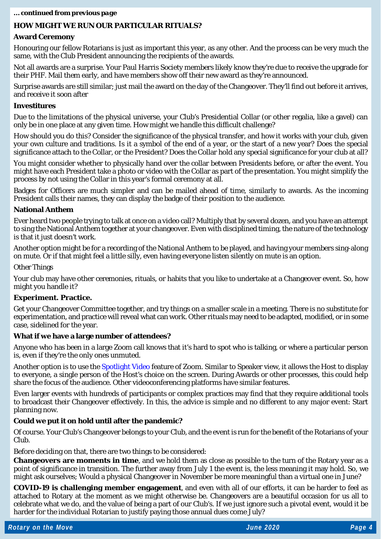#### *… continued from previous page*

#### **HOW MIGHT WE RUN OUR PARTICULAR RITUALS?**

#### **Award Ceremony**

Honouring our fellow Rotarians is just as important this year, as any other. And the process can be very much the same, with the Club President announcing the recipients of the awards.

Not all awards are a surprise. Your Paul Harris Society members likely know they're due to receive the upgrade for their PHF. Mail them early, and have members show off their new award as they're announced.

Surprise awards are still similar; just mail the award on the day of the Changeover. They'll find out before it arrives, and receive it soon after

#### **Investitures**

Due to the limitations of the physical universe, your Club's Presidential Collar (or other regalia, like a gavel) can only be in one place at any given time. How might we handle this difficult challenge?

How should you do this? Consider the significance of the physical transfer, and how it works with your club, given your own culture and traditions. Is it a symbol of the end of a year, or the start of a new year? Does the special significance attach to the Collar, or the President? Does the Collar hold any special significance for your club at all?

You might consider whether to physically hand over the collar between Presidents before, or after the event. You might have each President take a photo or video with the Collar as part of the presentation. You might simplify the process by not using the Collar in this year's formal ceremony at all.

Badges for Officers are much simpler and can be mailed ahead of time, similarly to awards. As the incoming President calls their names, they can display the badge of their position to the audience.

#### **National Anthem**

Ever heard two people trying to talk at once on a video call? Multiply that by several dozen, and you have an attempt to sing the National Anthem together at your changeover. Even with disciplined timing, the nature of the technology is that it just doesn't work.

Another option might be for a recording of the National Anthem to be played, and having your members sing-along on mute. Or if that might feel a little silly, even having everyone listen silently on mute is an option.

Other Things

Your club may have other ceremonies, rituals, or habits that you like to undertake at a Changeover event. So, how might you handle it?

#### **Experiment. Practice.**

Get your Changeover Committee together, and try things on a smaller scale in a meeting. There is no substitute for experimentation, and practice will reveal what can work. Other rituals may need to be adapted, modified, or in some case, sidelined for the year.

#### **What if we have a large number of attendees?**

Anyone who has been in a large Zoom call knows that it's hard to spot who is talking, or where a particular person is, even if they're the only ones unmuted.

Another option is to use th[e Spotlight Video](https://support.zoom.us/hc/en-us/articles/201362653-Spotlight-Video) feature of Zoom. Similar to Speaker view, it allows the Host to display to everyone, a single person of the Host's choice on the screen. During Awards or other processes, this could help share the focus of the audience. Other videoconferencing platforms have similar features.

Even larger events with hundreds of participants or complex practices may find that they require additional tools to broadcast their Changeover effectively. In this, the advice is simple and no different to any major event: Start planning now.

#### **Could we put it on hold until after the pandemic?**

Of course. Your Club's Changeover belongs to your Club, and the event is run for the benefit of the Rotarians of your Club.

Before deciding on that, there are two things to be considered:

**Changeovers are moments in time**, and we hold them as close as possible to the turn of the Rotary year as a point of significance in transition. The further away from July 1 the event is, the less meaning it may hold. So, we might ask ourselves; Would a physical Changeover in November be more meaningful than a virtual one in June?

**COVID-19 is challenging member engagement**, and even with all of our efforts, it can be harder to feel as attached to Rotary at the moment as we might otherwise be. Changeovers are a beautiful occasion for us all to celebrate what we do, and the value of being a part of our Club's. If we just ignore such a pivotal event, would it be harder for the individual Rotarian to justify paying those annual dues come July?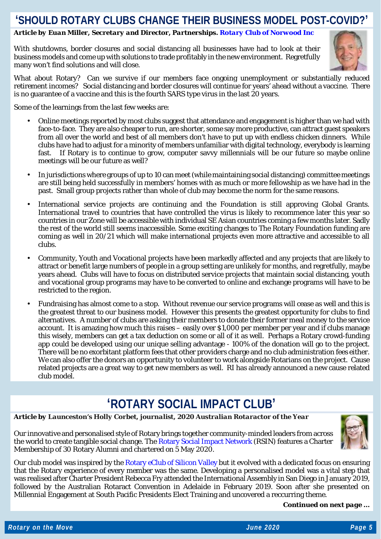### **'SHOULD ROTARY CLUBS CHANGE THEIR BUSINESS MODEL POST-COVID?'**

#### *Article by Euan Miller, Secretary and Director, Partnerships. [Rotary Club of Norwood Inc](http://rotarynorwood.org.au/)*

With shutdowns, border closures and social distancing all businesses have had to look at their business models and come up with solutions to trade profitably in the new environment. Regretfully many won't find solutions and will close.



What about Rotary? Can we survive if our members face ongoing unemployment or substantially reduced retirement incomes? Social distancing and border closures will continue for years' ahead without a vaccine. There is no guarantee of a vaccine and this is the fourth SARS type virus in the last 20 years.

Some of the learnings from the last few weeks are:

- Online meetings reported by most clubs suggest that attendance and engagement is higher than we had with face-to-face. They are also cheaper to run, are shorter, some say more productive, can attract guest speakers from all over the world and best of all members don't have to put up with endless chicken dinners. While clubs have had to adjust for a minority of members unfamiliar with digital technology, everybody is learning fast. If Rotary is to continue to grow, computer savvy millennials will be our future so maybe online meetings will be our future as well?
- In jurisdictions where groups of up to 10 can meet (while maintaining social distancing) committee meetings are still being held successfully in members' homes with as much or more fellowship as we have had in the past. Small group projects rather than whole of club may become the norm for the same reasons.
- International service projects are continuing and the Foundation is still approving Global Grants. International travel to countries that have controlled the virus is likely to recommence later this year so countries in our Zone will be accessible with individual SE Asian countries coming a few months later. Sadly the rest of the world still seems inaccessible. Some exciting changes to The Rotary Foundation funding are coming as well in 20/21 which will make international projects even more attractive and accessible to all clubs.
- Community, Youth and Vocational projects have been markedly affected and any projects that are likely to attract or benefit large numbers of people in a group setting are unlikely for months, and regretfully, maybe years ahead. Clubs will have to focus on distributed service projects that maintain social distancing, youth and vocational group programs may have to be converted to online and exchange programs will have to be restricted to the region.
- Fundraising has almost come to a stop. Without revenue our service programs will cease as well and this is the greatest threat to our business model. However this presents the greatest opportunity for clubs to find alternatives. A number of clubs are asking their members to donate their former meal money to the service account. It is amazing how much this raises – easily over \$1,000 per member per year and if clubs manage this wisely, members can get a tax deduction on some or all of it as well. Perhaps a Rotary crowd-funding app could be developed using our unique selling advantage - 100% of the donation will go to the project. There will be no exorbitant platform fees that other providers charge and no club administration fees either. We can also offer the donors an opportunity to volunteer to work alongside Rotarians on the project. Cause related projects are a great way to get new members as well. RI has already announced a new cause related club model.

### **'ROTARY SOCIAL IMPACT CLUB'**

*Article by Launceston's Holly Corbet, journalist, 2020 Australian Rotaractor of the Year* 

Our innovative and personalised style of Rotary brings together community-minded leaders from across the world to create tangible social change. The [Rotary Social Impact Network](https://www.facebook.com/rotarysocialimpactnetwork/) (RSIN) features a Charter Membership of 30 Rotary Alumni and chartered on 5 May 2020.



Our club model was inspired by th[e Rotary eClub of Silicon Valley](https://www.facebook.com/rotarysiliconvalley/) but it evolved with a dedicated focus on ensuring that the Rotary experience of every member was the same. Developing a personalised model was a vital step that was realised after Charter President Rebecca Fry attended the International Assembly in San Diego in January 2019, followed by the Australian Rotaract Convention in Adelaide in February 2019. Soon after she presented on Millennial Engagement at South Pacific Presidents Elect Training and uncovered a reccurring theme.

*Continued on next page …*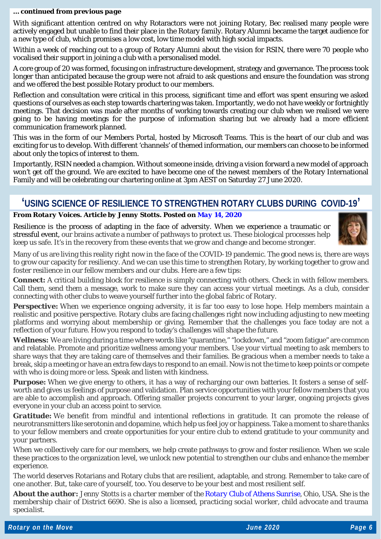#### *… continued from previous page*

With significant attention centred on why Rotaractors were not joining Rotary, Bec realised many people were actively engaged but unable to find their place in the Rotary family. Rotary Alumni became the target audience for a new type of club, which promises a low cost, low time model with high social impacts.

Within a week of reaching out to a group of Rotary Alumni about the vision for RSIN, there were 70 people who vocalised their support in joining a club with a personalised model.

A core group of 20 was formed, focusing on infrastructure development, strategy and governance. The process took longer than anticipated because the group were not afraid to ask questions and ensure the foundation was strong and we offered the best possible Rotary product to our members.

Reflection and consultation were critical in this process, significant time and effort was spent ensuring we asked questions of ourselves as each step towards chartering was taken. Importantly, we do not have weekly or fortnightly meetings. That decision was made after months of working towards creating our club when we realised we were going to be having meetings for the purpose of information sharing but we already had a more efficient communication framework planned.

This was in the form of our Members Portal, hosted by Microsoft Teams. This is the heart of our club and was exciting for us to develop. With different 'channels' of themed information, our members can choose to be informed about only the topics of interest to them.

Importantly, RSIN needed a champion. Without someone inside, driving a vision forward a new model of approach won't get off the ground. We are excited to have become one of the newest members of the Rotary International Family and will be celebrating our chartering online at 3pm AEST on Saturday 27 June 2020.

### **'USING SCIENCE OF RESILIENCE TO STRENGTHEN ROTARY CLUBS DURING COVID-19'**

#### *From Rotary Voices. Article by Jenny Stotts. Posted on May 14, [2020](https://blog.rotary.org/2020/05/14/using-science-of-resilience-to-strengthen-rotary-clubs-during-covid-19/)*

Resilience is the process of adapting in the face of adversity. When we experience a traumatic or stressful event, our brains activate a number of pathways to protect us. These biological processes help keep us safe. It's in the recovery from these events that we grow and change and become stronger.



Many of us are living this reality right now in the face of the COVID-19 pandemic. The good news is, there are ways to grow our capacity for resiliency. And we can use this time to strengthen Rotary, by working together to grow and foster resilience in our fellow members and our clubs. Here are a few tips:

*Connect:* A critical building block for resilience is simply connecting with others. Check in with fellow members. Call them, send them a message, work to make sure they can access your virtual meetings. As a club, consider connecting with other clubs to weave yourself further into the global fabric of Rotary.

**Perspective:** When we experience ongoing adversity, it is far too easy to lose hope. Help members maintain a realistic and positive perspective. Rotary clubs are facing challenges right now including adjusting to new meeting platforms and worrying about membership or giving. Remember that the challenges you face today are not a reflection of your future. How you respond to today's challenges will shape the future.

*Wellness:* We are living during a time where words like "quarantine," "lockdown," and "zoom fatigue" are common and relatable. Promote and prioritize wellness among your members. Use your virtual meeting to ask members to share ways that they are taking care of themselves and their families. Be gracious when a member needs to take a break, skip a meeting or have an extra few days to respond to an email. Now is not the time to keep points or compete with who is doing more or less. Speak and listen with kindness.

*Purpose:* When we give energy to others, it has a way of recharging our own batteries. It fosters a sense of selfworth and gives us feelings of purpose and validation. Plan service opportunities with your fellow members that you are able to accomplish and approach. Offering smaller projects concurrent to your larger, ongoing projects gives everyone in your club an access point to service.

*Gratitude:* We benefit from mindful and intentional reflections in gratitude. It can promote the release of neurotransmitters like serotonin and dopamine, which help us feel joy or happiness. Take a moment to share thanks to your fellow members and create opportunities for your entire club to extend gratitude to your community and your partners.

When we collectively care for our members, we help create pathways to grow and foster resilience. When we scale these practices to the organization level, we unlock new potential to strengthen our clubs and enhance the member experience.

The world deserves Rotarians and Rotary clubs that are resilient, adaptable, and strong. Remember to take care of one another. But, take care of yourself, too. You deserve to be your best and most resilient self.

*About the author: Jenny Stotts is a charter member of the [Rotary Club of Athens Sunrise,](https://athenssunriserotary.org/) Ohio, USA. She is the membership chair of District 6690. She is also a licensed, practicing social worker, child advocate and trauma specialist.*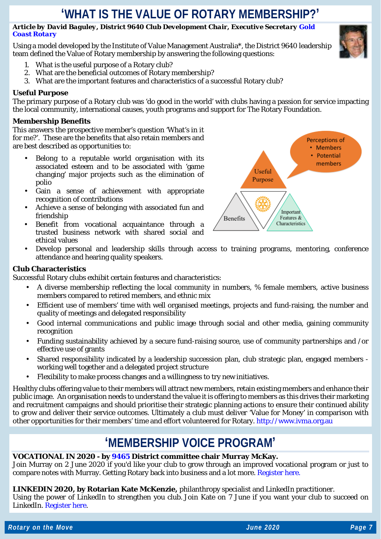### **'WHAT IS THE VALUE OF ROTARY MEMBERSHIP?'**

#### *Article by David Baguley, District 9640 Club Development Chair, Executive Secretar[y Gold](https://goldcoastrotary.org.au/)  [Coast Rotary](https://goldcoastrotary.org.au/)*

Using a model developed by the Institute of Value Management Australia\*, the District 9640 leadership team defined the Value of Rotary membership by answering the following questions:

- 1. What is the useful purpose of a Rotary club?
- 2. What are the beneficial outcomes of Rotary membership?
- 3. What are the important features and characteristics of a successful Rotary club?

#### **Useful Purpose**

The primary purpose of a Rotary club was 'do good in the world' with clubs having a passion for service impacting the local community, international causes, youth programs and support for The Rotary Foundation.

#### **Membership Benefits**

This answers the prospective member's question 'What's in it for me?'. These are the benefits that also retain members and are best described as opportunities to:

- Belong to a reputable world organisation with its associated esteem and to be associated with 'game changing' major projects such as the elimination of polio
- Gain a sense of achievement with appropriate recognition of contributions
- Achieve a sense of belonging with associated fun and friendship
- Benefit from vocational acquaintance through a trusted business network with shared social and ethical values



Develop personal and leadership skills through access to training programs, mentoring, conference attendance and hearing quality speakers.

#### **Club Characteristics**

Successful Rotary clubs exhibit certain features and characteristics:

- A diverse membership reflecting the local community in numbers, % female members, active business members compared to retired members, and ethnic mix
- Efficient use of members' time with well organised meetings, projects and fund-raising, the number and quality of meetings and delegated responsibility
- Good internal communications and public image through social and other media, gaining community recognition
- Funding sustainability achieved by a secure fund-raising source, use of community partnerships and /or effective use of grants
- Shared responsibility indicated by a leadership succession plan, club strategic plan, engaged members working well together and a delegated project structure
- Flexibility to make process changes and a willingness to try new initiatives.

Healthy clubs offering value to their members will attract new members, retain existing members and enhance their public image. An organisation needs to understand the value it is offering to members as this drives their marketing and recruitment campaigns and should prioritise their strategic planning actions to ensure their continued ability to grow and deliver their service outcomes. Ultimately a club must deliver 'Value for Money' in comparison with other opportunities for their members' time and effort volunteered for Rotary. [http://www.ivma.org.au](http://www.ivma.org.au/)

### **'MEMBERSHIP VOICE PROGRAM'**

#### **VOCATIONAL IN 2020 - by [9465](https://rotary9465.org.au/districtorganizationchart) District committee chair Murray McKay.**

Join Murray on 2 June 2020 if you'd like your club to grow through an improved vocational program or just to compare notes with Murray. Getting Rotary back into business and a lot more. [Register here.](https://us02web.zoom.us/meeting/register/tZUqfuGtqT8jGdespVSao-Vqf7Hy5JathaJx)

#### **LINKEDIN 2020, by Rotarian Kate McKenzie,** philanthropy specialist and LinkedIn practitioner.

Using the power of LinkedIn to strengthen you club. Join Kate on 7 June if you want your club to succeed on LinkedIn. [Register here.](https://us02web.zoom.us/meeting/register/tZAkceutqzkvG9Ndqy_RLlOyXoL614qb7jpt)